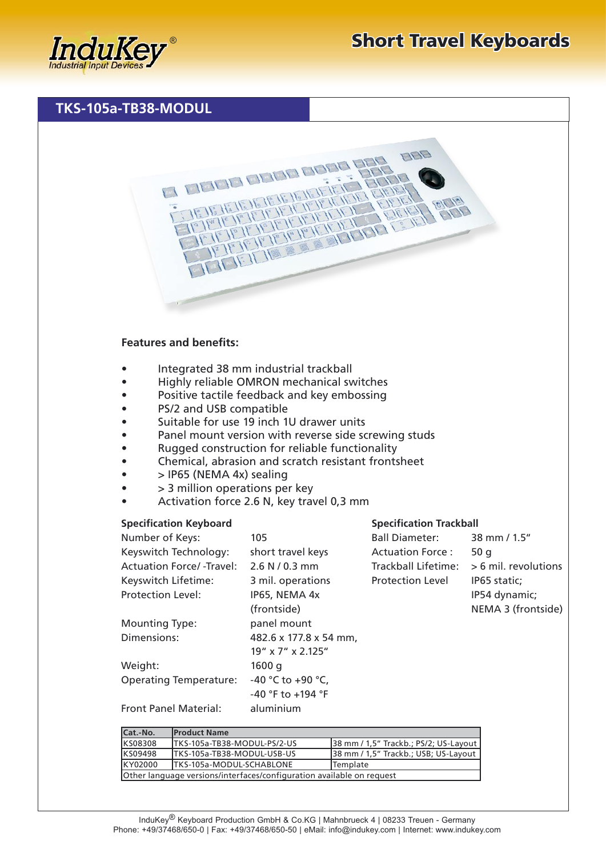## **TKS-105a-TB38-MODUL**



## **Features and benefits:**

- Integrated 38 mm industrial trackball
- Highly reliable OMRON mechanical switches
- Positive tactile feedback and key embossing
- PS/2 and USB compatible
- Suitable for use 19 inch 1U drawer units
- Panel mount version with reverse side screwing studs
- Rugged construction for reliable functionality
- Chemical, abrasion and scratch resistant frontsheet
- $\bullet$  > IP65 (NEMA 4x) sealing
- > 3 million operations per key
- Activation force 2.6 N, key travel 0,3 mm

## **Specification Keyboard**

| Number of Keys:                 | 105                    | <b>Ball Diameter:</b>   | 38 mm / 1.5"         |
|---------------------------------|------------------------|-------------------------|----------------------|
| Keyswitch Technology:           | short travel keys      | Actuation Force:        | 50q                  |
| <b>Actuation Force/-Travel:</b> | 2.6 N / 0.3 mm         | Trackball Lifetime:     | > 6 mil. revolutions |
| Keyswitch Lifetime:             | 3 mil. operations      | <b>Protection Level</b> | IP65 static:         |
| <b>Protection Level:</b>        | IP65, NEMA 4x          |                         | IP54 dynamic;        |
|                                 | (frontside)            |                         | NEMA 3 (frontside)   |
| <b>Mounting Type:</b>           | panel mount            |                         |                      |
| Dimensions:                     | 482.6 x 177.8 x 54 mm, |                         |                      |
|                                 | 19" x 7" x 2.125"      |                         |                      |
| Weight:                         | 1600q                  |                         |                      |
| <b>Operating Temperature:</b>   | -40 °C to +90 °C,      |                         |                      |
|                                 | -40 °F to +194 °F      |                         |                      |
| <b>Front Panel Material:</b>    | aluminium              |                         |                      |

**Specification Trackball**

| Cat.-No.                                                              | <b>Product Name</b>          |                                       |  |
|-----------------------------------------------------------------------|------------------------------|---------------------------------------|--|
| <b>KS08308</b>                                                        | ITKS-105a-TB38-MODUL-PS/2-US | 38 mm / 1,5" Trackb.; PS/2; US-Layout |  |
| <b>KS09498</b>                                                        | ITKS-105a-TB38-MODUL-USB-US  | 38 mm / 1,5" Trackb.; USB; US-Layout  |  |
| KY02000                                                               | ITKS-105a-MODUL-SCHABLONE    | <b>Template</b>                       |  |
| Other language versions/interfaces/configuration available on request |                              |                                       |  |